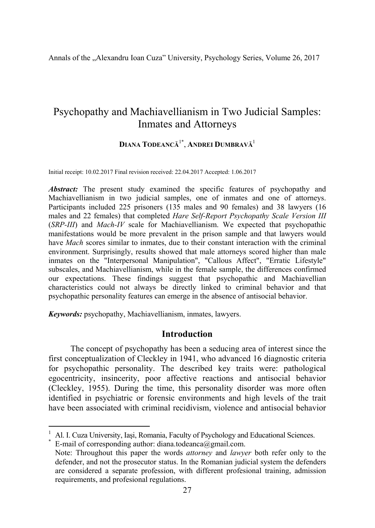Annals of the "Alexandru Ioan Cuza" University, Psychology Series, Volume 26, 2017

# Psychopathy and Machiavellianism in Two Judicial Samples: Inmates and Attorneys

## **DIANA TODEANCĂ**1\*, **ANDREI DUMBRAVĂ**<sup>1</sup>

Initial receipt: 10.02.2017 Final revision received: 22.04.2017 Accepted: 1.06.2017

Abstract: The present study examined the specific features of psychopathy and Machiavellianism in two judicial samples, one of inmates and one of attorneys. Participants included 225 prisoners (135 males and 90 females) and 38 lawyers (16 males and 22 females) that completed *Hare Self-Report Psychopathy Scale Version III* (*SRP-III*) and *Mach-IV* scale for Machiavellianism. We expected that psychopathic manifestations would be more prevalent in the prison sample and that lawyers would have *Mach* scores similar to inmates, due to their constant interaction with the criminal environment. Surprisingly, results showed that male attorneys scored higher than male inmates on the "Interpersonal Manipulation", "Callous Affect", "Erratic Lifestyle" subscales, and Machiavellianism, while in the female sample, the differences confirmed our expectations. These findings suggest that psychopathic and Machiavellian characteristics could not always be directly linked to criminal behavior and that psychopathic personality features can emerge in the absence of antisocial behavior.

*Keywords:* psychopathy, Machiavellianism, inmates, lawyers.

### **Introduction**

The concept of psychopathy has been a seducing area of interest since the first conceptualization of Cleckley in 1941, who advanced 16 diagnostic criteria for psychopathic personality. The described key traits were: pathological egocentricity, insincerity, poor affective reactions and antisocial behavior (Cleckley, 1955). During the time, this personality disorder was more often identified in psychiatric or forensic environments and high levels of the trait have been associated with criminal recidivism, violence and antisocial behavior

<sup>1</sup> Al. I. Cuza University, Iași, Romania, Faculty of Psychology and Educational Sciences.<br>\* E mail of corresponding outbor: diana todes nee @amail com

 $*$  E-mail of corresponding author: diana.todeanca@gmail.com.

<u> 1989 - Johann Barnett, fransk politiker (</u>

Note: Throughout this paper the words *attorney* and *lawyer* both refer only to the defender, and not the prosecutor status. In the Romanian judicial system the defenders are considered a separate profession, with different profesional training, admission requirements, and profesional regulations.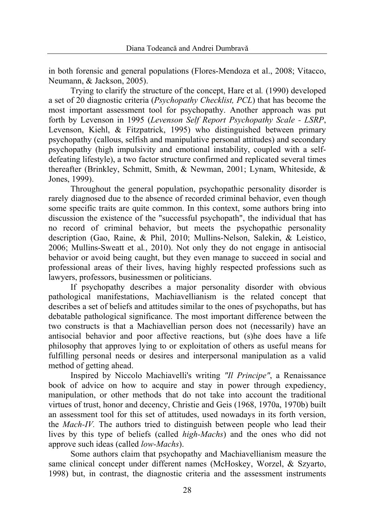in both forensic and general populations (Flores-Mendoza et al., 2008; Vitacco, Neumann, & Jackson, 2005).

Trying to clarify the structure of the concept, Hare et al*.* (1990) developed a set of 20 diagnostic criteria (*Psychopathy Checklist, PCL*) that has become the most important assessment tool for psychopathy. Another approach was put forth by Levenson in 1995 (*Levenson Self Report Psychopathy Scale - LSRP*, Levenson, Kiehl, & Fitzpatrick, 1995) who distinguished between primary psychopathy (callous, selfish and manipulative personal attitudes) and secondary psychopathy (high impulsivity and emotional instability, coupled with a selfdefeating lifestyle), a two factor structure confirmed and replicated several times thereafter (Brinkley, Schmitt, Smith, & Newman, 2001; Lynam, Whiteside, & Jones, 1999).

Throughout the general population, psychopathic personality disorder is rarely diagnosed due to the absence of recorded criminal behavior, even though some specific traits are quite common. In this context, some authors bring into discussion the existence of the "successful psychopath", the individual that has no record of criminal behavior, but meets the psychopathic personality description (Gao, Raine, & Phil, 2010; Mullins-Nelson, Salekin, & Leistico, 2006; Mullins-Sweatt et al*.*, 2010). Not only they do not engage in antisocial behavior or avoid being caught, but they even manage to succeed in social and professional areas of their lives, having highly respected professions such as lawyers, professors, businessmen or politicians.

If psychopathy describes a major personality disorder with obvious pathological manifestations, Machiavellianism is the related concept that describes a set of beliefs and attitudes similar to the ones of psychopaths, but has debatable pathological significance. The most important difference between the two constructs is that a Machiavellian person does not (necessarily) have an antisocial behavior and poor affective reactions, but (s)he does have a life philosophy that approves lying to or exploitation of others as useful means for fulfilling personal needs or desires and interpersonal manipulation as a valid method of getting ahead.

Inspired by Niccolo Machiavelli's writing *"Il Principe"*, a Renaissance book of advice on how to acquire and stay in power through expediency, manipulation, or other methods that do not take into account the traditional virtues of trust, honor and decency, Christie and Geis (1968, 1970a, 1970b) built an assessment tool for this set of attitudes, used nowadays in its forth version, the *Mach-IV.* The authors tried to distinguish between people who lead their lives by this type of beliefs (called *high-Machs*) and the ones who did not approve such ideas (called *low-Machs*).

Some authors claim that psychopathy and Machiavellianism measure the same clinical concept under different names (McHoskey, Worzel, & Szyarto, 1998) but, in contrast, the diagnostic criteria and the assessment instruments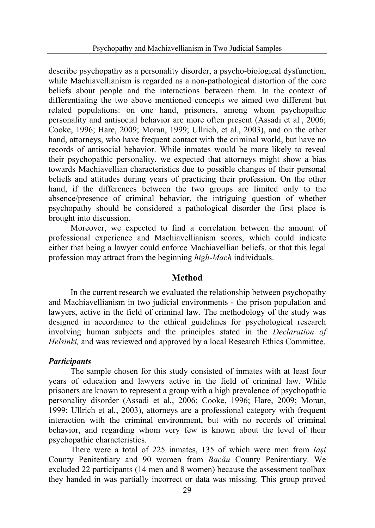describe psychopathy as a personality disorder, a psycho-biological dysfunction, while Machiavellianism is regarded as a non-pathological distortion of the core beliefs about people and the interactions between them. In the context of differentiating the two above mentioned concepts we aimed two different but related populations: on one hand, prisoners, among whom psychopathic personality and antisocial behavior are more often present (Assadi et al*.*, 2006; Cooke, 1996; Hare, 2009; Moran, 1999; Ullrich, et al*.*, 2003), and on the other hand, attorneys, who have frequent contact with the criminal world, but have no records of antisocial behavior. While inmates would be more likely to reveal their psychopathic personality, we expected that attorneys might show a bias towards Machiavellian characteristics due to possible changes of their personal beliefs and attitudes during years of practicing their profession. On the other hand, if the differences between the two groups are limited only to the absence/presence of criminal behavior, the intriguing question of whether psychopathy should be considered a pathological disorder the first place is brought into discussion.

Moreover, we expected to find a correlation between the amount of professional experience and Machiavellianism scores, which could indicate either that being a lawyer could enforce Machiavellian beliefs, or that this legal profession may attract from the beginning *high-Mach* individuals.

### **Method**

In the current research we evaluated the relationship between psychopathy and Machiavellianism in two judicial environments - the prison population and lawyers, active in the field of criminal law. The methodology of the study was designed in accordance to the ethical guidelines for psychological research involving human subjects and the principles stated in the *Declaration of Helsinki,* and was reviewed and approved by a local Research Ethics Committee.

### *Participants*

The sample chosen for this study consisted of inmates with at least four years of education and lawyers active in the field of criminal law. While prisoners are known to represent a group with a high prevalence of psychopathic personality disorder (Assadi et al*.*, 2006; Cooke, 1996; Hare, 2009; Moran, 1999; Ullrich et al*.*, 2003), attorneys are a professional category with frequent interaction with the criminal environment, but with no records of criminal behavior, and regarding whom very few is known about the level of their psychopathic characteristics.

There were a total of 225 inmates, 135 of which were men from *Iași* County Penitentiary and 90 women from *Bacău* County Penitentiary. We excluded 22 participants (14 men and 8 women) because the assessment toolbox they handed in was partially incorrect or data was missing. This group proved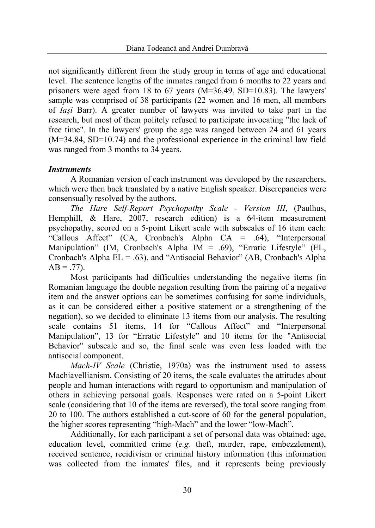not significantly different from the study group in terms of age and educational level. The sentence lengths of the inmates ranged from 6 months to 22 years and prisoners were aged from 18 to 67 years  $(M=36.49, SD=10.83)$ . The lawyers' sample was comprised of 38 participants (22 women and 16 men, all members of *Iași* Barr). A greater number of lawyers was invited to take part in the research, but most of them politely refused to participate invocating "the lack of free time". In the lawyers' group the age was ranged between 24 and 61 years (M=34.84, SD=10.74) and the professional experience in the criminal law field was ranged from 3 months to 34 years.

### *Instruments*

A Romanian version of each instrument was developed by the researchers, which were then back translated by a native English speaker. Discrepancies were consensually resolved by the authors.

*The Hare Self-Report Psychopathy Scale - Version III*, (Paulhus, Hemphill, & Hare, 2007, research edition) is a 64-item measurement psychopathy, scored on a 5-point Likert scale with subscales of 16 item each: "Callous Affect" (CA, Cronbach's Alpha CA = .64), "Interpersonal Manipulation" (IM, Cronbach's Alpha IM = .69), "Erratic Lifestyle" (EL, Cronbach's Alpha  $EL = .63$ ), and "Antisocial Behavior" (AB, Cronbach's Alpha  $AB = .77$ ).

Most participants had difficulties understanding the negative items (in Romanian language the double negation resulting from the pairing of a negative item and the answer options can be sometimes confusing for some individuals, as it can be considered either a positive statement or a strengthening of the negation), so we decided to eliminate 13 items from our analysis. The resulting scale contains 51 items, 14 for "Callous Affect" and "Interpersonal Manipulation", 13 for "Erratic Lifestyle" and 10 items for the "Antisocial Behavior" subscale and so, the final scale was even less loaded with the antisocial component.

*Mach-IV Scale* (Christie, 1970a) was the instrument used to assess Machiavellianism. Consisting of 20 items, the scale evaluates the attitudes about people and human interactions with regard to opportunism and manipulation of others in achieving personal goals. Responses were rated on a 5-point Likert scale (considering that 10 of the items are reversed), the total score ranging from 20 to 100. The authors established a cut-score of 60 for the general population, the higher scores representing "high-Mach" and the lower "low-Mach".

Additionally, for each participant a set of personal data was obtained: age, education level, committed crime (*e.g*. theft, murder, rape, embezzlement), received sentence, recidivism or criminal history information (this information was collected from the inmates' files, and it represents being previously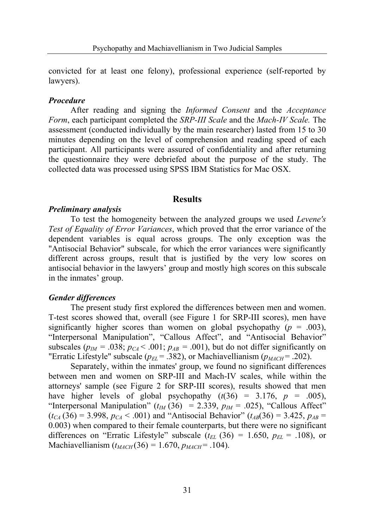convicted for at least one felony), professional experience (self-reported by lawyers).

#### *Procedure*

After reading and signing the *Informed Consent* and the *Acceptance Form*, each participant completed the *SRP-III Scale* and the *Mach-IV Scale.* The assessment (conducted individually by the main researcher) lasted from 15 to 30 minutes depending on the level of comprehension and reading speed of each participant. All participants were assured of confidentiality and after returning the questionnaire they were debriefed about the purpose of the study. The collected data was processed using SPSS IBM Statistics for Mac OSX.

### **Results**

#### *Preliminary analysis*

To test the homogeneity between the analyzed groups we used *Levene's Test of Equality of Error Variances*, which proved that the error variance of the dependent variables is equal across groups. The only exception was the "Antisocial Behavior" subscale, for which the error variances were significantly different across groups, result that is justified by the very low scores on antisocial behavior in the lawyers' group and mostly high scores on this subscale in the inmates' group.

#### *Gender differences*

The present study first explored the differences between men and women. T-test scores showed that, overall (see Figure 1 for SRP-III scores), men have significantly higher scores than women on global psychopathy  $(p = .003)$ , "Interpersonal Manipulation", "Callous Affect", and "Antisocial Behavior" subscales ( $p_M$  = .038;  $p_C \leq 0.001$ ;  $p_{AB} = 0.001$ ), but do not differ significantly on "Erratic Lifestyle" subscale ( $p_{EL}$  = .382), or Machiavellianism ( $p_{MACH}$  = .202).

Separately, within the inmates' group, we found no significant differences between men and women on SRP-III and Mach-IV scales, while within the attorneys' sample (see Figure 2 for SRP-III scores), results showed that men have higher levels of global psychopathy  $(t(36) = 3.176, p = .005)$ , "Interpersonal Manipulation"  $(t_M (36) = 2.339, p_M = .025)$ , "Callous Affect"  $(t_{CA} (36) = 3.998, p_{CA} < .001)$  and "Antisocial Behavior" ( $t_{AB} (36) = 3.425, p_{AB} =$ 0.003) when compared to their female counterparts, but there were no significant differences on "Erratic Lifestyle" subscale  $(t_{EL}$  (36) = 1.650,  $p_{EL}$  = .108), or Machiavellianism  $(t_{MACH}(36) = 1.670, p_{MACH} = .104)$ .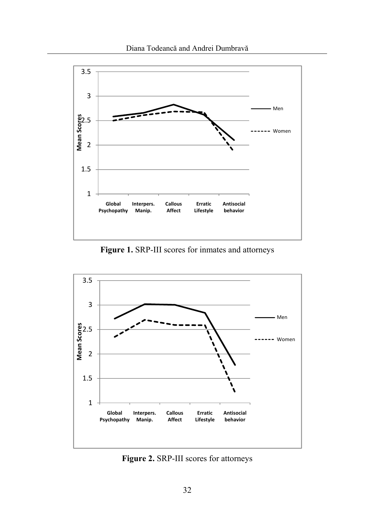

**Figure 1.** SRP-III scores for inmates and attorneys



**Figure 2.** SRP-III scores for attorneys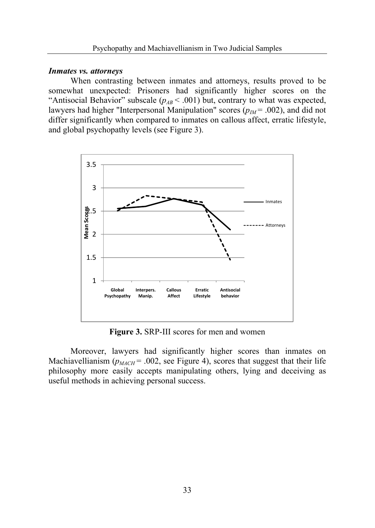#### *Inmates vs. attorneys*

When contrasting between inmates and attorneys, results proved to be somewhat unexpected: Prisoners had significantly higher scores on the "Antisocial Behavior" subscale  $(p_{AB} < .001)$  but, contrary to what was expected, lawyers had higher "Interpersonal Manipulation" scores  $(p_M = .002)$ , and did not differ significantly when compared to inmates on callous affect, erratic lifestyle, and global psychopathy levels (see Figure 3).



**Figure 3.** SRP-III scores for men and women

Moreover, lawyers had significantly higher scores than inmates on Machiavellianism ( $p_{MACH}$  = .002, see Figure 4), scores that suggest that their life philosophy more easily accepts manipulating others, lying and deceiving as useful methods in achieving personal success.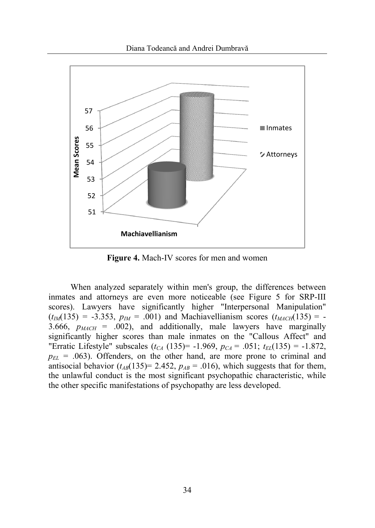Diana Todeancă and Andrei Dumbravă



**Figure 4.** Mach-IV scores for men and women

When analyzed separately within men's group, the differences between inmates and attorneys are even more noticeable (see Figure 5 for SRP-III scores). Lawyers have significantly higher "Interpersonal Manipulation"  $(t_{IM}(135) = -3.353, p_{IM} = .001)$  and Machiavellianism scores  $(t_{MACH}(135) = -1.001)$ 3.666,  $p_{MACH}$  = .002), and additionally, male lawyers have marginally significantly higher scores than male inmates on the "Callous Affect" and "Erratic Lifestyle" subscales  $(t_{CA} (135)) = -1.969$ ,  $p_{CA} = .051$ ;  $t_{EL} (135) = -1.872$ ,  $p_{EL}$  = .063). Offenders, on the other hand, are more prone to criminal and antisocial behavior  $(t_{AB}(135)=2.452, p_{AB}=.016)$ , which suggests that for them, the unlawful conduct is the most significant psychopathic characteristic, while the other specific manifestations of psychopathy are less developed.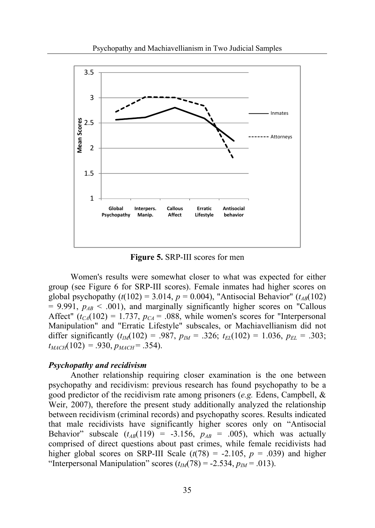

**Figure 5.** SRP-III scores for men

Women's results were somewhat closer to what was expected for either group (see Figure 6 for SRP-III scores). Female inmates had higher scores on global psychopathy  $(t(102) = 3.014, p = 0.004)$ , "Antisocial Behavior" ( $t_{AB}(102)$ )  $= 9.991$ ,  $p_{AB} < .001$ ), and marginally significantly higher scores on "Callous" Affect" ( $t_{CA}(102) = 1.737$ ,  $p_{CA} = .088$ , while women's scores for "Interpersonal Manipulation" and "Erratic Lifestyle" subscales, or Machiavellianism did not differ significantly  $(t_M(102) = .987, p_M = .326; t_{EL}(102) = 1.036, p_{EL} = .303;$  $t_{MACH}(102) = .930, p_{MACH} = .354$ .

#### *Psychopathy and recidivism*

Another relationship requiring closer examination is the one between psychopathy and recidivism: previous research has found psychopathy to be a good predictor of the recidivism rate among prisoners (*e.g.* Edens, Campbell, & Weir, 2007), therefore the present study additionally analyzed the relationship between recidivism (criminal records) and psychopathy scores. Results indicated that male recidivists have significantly higher scores only on "Antisocial Behavior" subscale  $(t_{AB}(119) = -3.156, p_{AB} = .005)$ , which was actually comprised of direct questions about past crimes, while female recidivists had higher global scores on SRP-III Scale  $(t(78) = -2.105, p = .039)$  and higher "Interpersonal Manipulation" scores  $(t_M(78) = -2.534, p_M = .013)$ .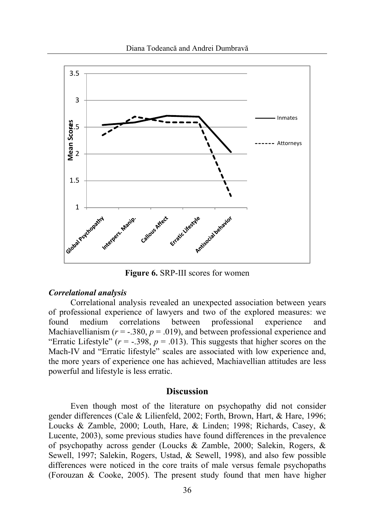

**Figure 6.** SRP-III scores for women

#### *Correlational analysis*

Correlational analysis revealed an unexpected association between years of professional experience of lawyers and two of the explored measures: we found medium correlations between professional experience and Machiavellianism  $(r = -.380, p = .019)$ , and between professional experience and "Erratic Lifestyle"  $(r = -0.398, p = 0.013)$ . This suggests that higher scores on the Mach-IV and "Erratic lifestyle" scales are associated with low experience and, the more years of experience one has achieved, Machiavellian attitudes are less powerful and lifestyle is less erratic.

### **Discussion**

Even though most of the literature on psychopathy did not consider gender differences (Cale & Lilienfeld, 2002; Forth, Brown, Hart, & Hare, 1996; Loucks & Zamble, 2000; Louth, Hare, & Linden; 1998; Richards, Casey, & Lucente, 2003), some previous studies have found differences in the prevalence of psychopathy across gender (Loucks & Zamble, 2000; Salekin, Rogers, & Sewell, 1997; Salekin, Rogers, Ustad, & Sewell, 1998), and also few possible differences were noticed in the core traits of male versus female psychopaths (Forouzan & Cooke, 2005). The present study found that men have higher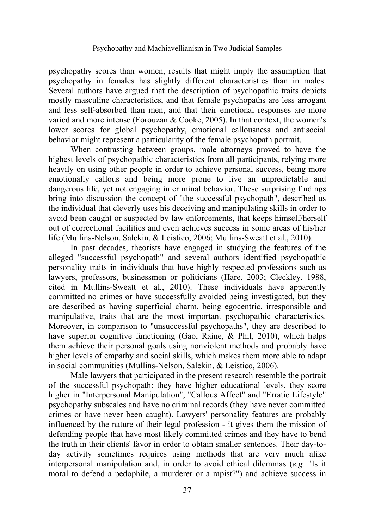psychopathy scores than women, results that might imply the assumption that psychopathy in females has slightly different characteristics than in males. Several authors have argued that the description of psychopathic traits depicts mostly masculine characteristics, and that female psychopaths are less arrogant and less self-absorbed than men, and that their emotional responses are more varied and more intense (Forouzan & Cooke, 2005). In that context, the women's lower scores for global psychopathy, emotional callousness and antisocial behavior might represent a particularity of the female psychopath portrait.

When contrasting between groups, male attorneys proved to have the highest levels of psychopathic characteristics from all participants, relying more heavily on using other people in order to achieve personal success, being more emotionally callous and being more prone to live an unpredictable and dangerous life, yet not engaging in criminal behavior. These surprising findings bring into discussion the concept of "the successful psychopath", described as the individual that cleverly uses his deceiving and manipulating skills in order to avoid been caught or suspected by law enforcements, that keeps himself/herself out of correctional facilities and even achieves success in some areas of his/her life (Mullins-Nelson, Salekin, & Leistico, 2006; Mullins-Sweatt et al., 2010).

In past decades, theorists have engaged in studying the features of the alleged "successful psychopath" and several authors identified psychopathic personality traits in individuals that have highly respected professions such as lawyers, professors, businessmen or politicians (Hare, 2003; Cleckley, 1988, cited in Mullins-Sweatt et al*.*, 2010). These individuals have apparently committed no crimes or have successfully avoided being investigated, but they are described as having superficial charm, being egocentric, irresponsible and manipulative, traits that are the most important psychopathic characteristics. Moreover, in comparison to "unsuccessful psychopaths", they are described to have superior cognitive functioning (Gao, Raine, & Phil, 2010), which helps them achieve their personal goals using nonviolent methods and probably have higher levels of empathy and social skills, which makes them more able to adapt in social communities (Mullins-Nelson, Salekin, & Leistico, 2006).

Male lawyers that participated in the present research resemble the portrait of the successful psychopath: they have higher educational levels, they score higher in "Interpersonal Manipulation", "Callous Affect" and "Erratic Lifestyle" psychopathy subscales and have no criminal records (they have never committed crimes or have never been caught). Lawyers' personality features are probably influenced by the nature of their legal profession - it gives them the mission of defending people that have most likely committed crimes and they have to bend the truth in their clients' favor in order to obtain smaller sentences. Their day-today activity sometimes requires using methods that are very much alike interpersonal manipulation and, in order to avoid ethical dilemmas (*e.g.* "Is it moral to defend a pedophile, a murderer or a rapist?") and achieve success in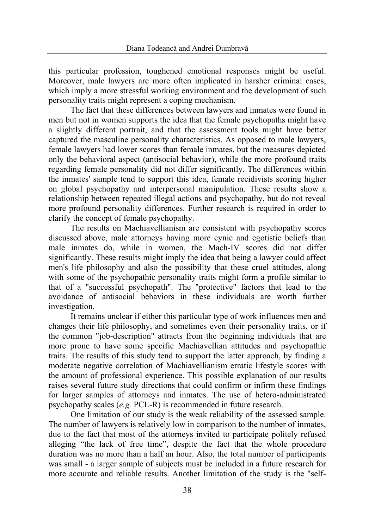this particular profession, toughened emotional responses might be useful. Moreover, male lawyers are more often implicated in harsher criminal cases, which imply a more stressful working environment and the development of such personality traits might represent a coping mechanism.

The fact that these differences between lawyers and inmates were found in men but not in women supports the idea that the female psychopaths might have a slightly different portrait, and that the assessment tools might have better captured the masculine personality characteristics. As opposed to male lawyers, female lawyers had lower scores than female inmates, but the measures depicted only the behavioral aspect (antisocial behavior), while the more profound traits regarding female personality did not differ significantly. The differences within the inmates' sample tend to support this idea, female recidivists scoring higher on global psychopathy and interpersonal manipulation. These results show a relationship between repeated illegal actions and psychopathy, but do not reveal more profound personality differences. Further research is required in order to clarify the concept of female psychopathy.

The results on Machiavellianism are consistent with psychopathy scores discussed above, male attorneys having more cynic and egotistic beliefs than male inmates do, while in women, the Mach-IV scores did not differ significantly. These results might imply the idea that being a lawyer could affect men's life philosophy and also the possibility that these cruel attitudes, along with some of the psychopathic personality traits might form a profile similar to that of a "successful psychopath". The "protective" factors that lead to the avoidance of antisocial behaviors in these individuals are worth further investigation.

It remains unclear if either this particular type of work influences men and changes their life philosophy, and sometimes even their personality traits, or if the common "job-description" attracts from the beginning individuals that are more prone to have some specific Machiavellian attitudes and psychopathic traits. The results of this study tend to support the latter approach, by finding a moderate negative correlation of Machiavellianism erratic lifestyle scores with the amount of professional experience. This possible explanation of our results raises several future study directions that could confirm or infirm these findings for larger samples of attorneys and inmates. The use of hetero-administrated psychopathy scales (*e.g.* PCL-R) is recommended in future research.

One limitation of our study is the weak reliability of the assessed sample. The number of lawyers is relatively low in comparison to the number of inmates, due to the fact that most of the attorneys invited to participate politely refused alleging "the lack of free time", despite the fact that the whole procedure duration was no more than a half an hour. Also, the total number of participants was small - a larger sample of subjects must be included in a future research for more accurate and reliable results. Another limitation of the study is the "self-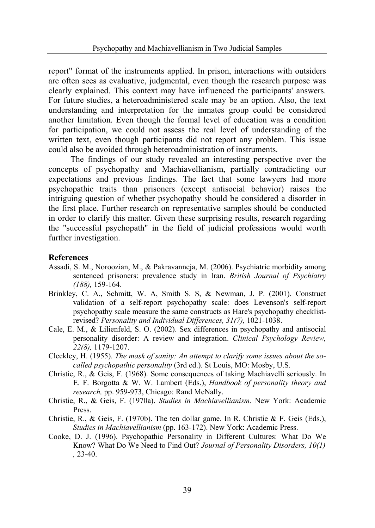report" format of the instruments applied. In prison, interactions with outsiders are often sees as evaluative, judgmental, even though the research purpose was clearly explained. This context may have influenced the participants' answers. For future studies, a heteroadministered scale may be an option. Also, the text understanding and interpretation for the inmates group could be considered another limitation. Even though the formal level of education was a condition for participation, we could not assess the real level of understanding of the written text, even though participants did not report any problem. This issue could also be avoided through heteroadministration of instruments.

The findings of our study revealed an interesting perspective over the concepts of psychopathy and Machiavellianism, partially contradicting our expectations and previous findings. The fact that some lawyers had more psychopathic traits than prisoners (except antisocial behavior) raises the intriguing question of whether psychopathy should be considered a disorder in the first place. Further research on representative samples should be conducted in order to clarify this matter. Given these surprising results, research regarding the "successful psychopath" in the field of judicial professions would worth further investigation.

### **References**

- Assadi, S. M., Noroozian, M., & Pakravanneja, M. (2006). Psychiatric morbidity among sentenced prisoners: prevalence study in Iran. *British Journal of Psychiatry (188),* 159-164.
- Brinkley, C. A., Schmitt, W. A, Smith S. S, & Newman, J. P. (2001). Construct validation of a self-report psychopathy scale: does Levenson's self-report psychopathy scale measure the same constructs as Hare's psychopathy checklistrevised? *Personality and Individual Differences, 31(7),* 1021-1038.
- Cale, E. M., & Lilienfeld, S. O. (2002). Sex differences in psychopathy and antisocial personality disorder: A review and integration. *Clinical Psychology Review, 22(8),* 1179-1207.
- Cleckley, H. (1955). *The mask of sanity: An attempt to clarify some issues about the socalled psychopathic personality* (3rd ed.). St Louis, MO: Mosby, U.S.
- Christie, R., & Geis, F. (1968). Some consequences of taking Machiavelli seriously. In E. F. Borgotta & W. W. Lambert (Eds.), *Handbook of personality theory and research,* pp. 959-973, Chicago: Rand McNally.
- Christie, R., & Geis, F. (1970a). *Studies in Machiavellianism.* New York: Academic Press.
- Christie, R., & Geis, F. (1970b). The ten dollar game*.* In R. Christie & F. Geis (Eds.), *Studies in Machiavellianism* (pp. 163-172). New York: Academic Press.
- Cooke, D. J. (1996). Psychopathic Personality in Different Cultures: What Do We Know? What Do We Need to Find Out? *Journal of Personality Disorders, 10(1) ,* 23-40.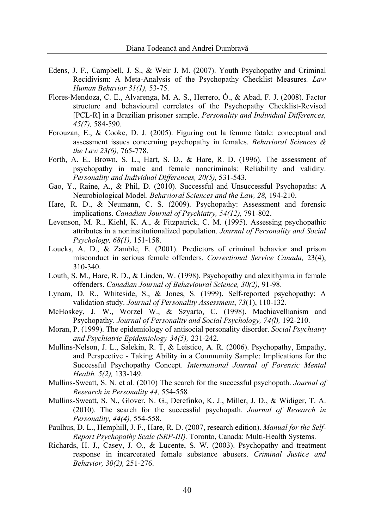- Edens, J. F., Campbell, J. S., & Weir J. M. (2007). Youth Psychopathy and Criminal Recidivism: A Meta-Analysis of the Psychopathy Checklist Measures*. Law Human Behavior 31(1),* 53-75.
- Flores-Mendoza, C. E., Alvarenga, M. A. S., Herrero, Ó., & Abad, F. J. (2008). Factor structure and behavioural correlates of the Psychopathy Checklist-Revised [PCL-R] in a Brazilian prisoner sample. *Personality and Individual Differences, 45(7),* 584-590.
- Forouzan, E., & Cooke, D. J. (2005). Figuring out la femme fatale: conceptual and assessment issues concerning psychopathy in females. *Behavioral Sciences & the Law 23(6),* 765-778.
- Forth, A. E., Brown, S. L., Hart, S. D., & Hare, R. D. (1996). The assessment of psychopathy in male and female noncriminals: Reliability and validity. *Personality and Individual Differences, 20(5),* 531-543.
- Gao, Y., Raine, A., & Phil, D. (2010). Successful and Unsuccessful Psychopaths: A Neurobiological Model. *Behavioral Sciences and the Law, 28,* 194-210.
- Hare, R. D., & Neumann, C. S. (2009). Psychopathy: Assessment and forensic implications. *Canadian Journal of Psychiatry, 54(12),* 791-802.
- Levenson, M. R., Kiehl, K. A., & Fitzpatrick, C. M. (1995). Assessing psychopathic attributes in a noninstitutionalized population. *Journal of Personality and Social Psychology, 68(1),* 151-158.
- Loucks, A. D., & Zamble, E. (2001). Predictors of criminal behavior and prison misconduct in serious female offenders. *Correctional Service Canada,* 23(4), 310-340.
- Louth, S. M., Hare, R. D., & Linden, W. (1998). Psychopathy and alexithymia in female offenders. *Canadian Journal of Behavioural Science, 30(2),* 91-98.
- Lynam, D. R., Whiteside, S., & Jones, S. (1999). Self-reported psychopathy: A validation study. *Journal of Personality Assessment*, *73*(1), 110-132.
- McHoskey, J. W., Worzel W., & Szyarto, C. (1998). Machiavellianism and Psychopathy. *Journal of Personality and Social Psychology, 74(l),* 192-210.
- Moran, P. (1999). The epidemiology of antisocial personality disorder. *Social Psychiatry and Psychiatric Epidemiology 34(5),* 231-242*.*
- Mullins-Nelson, J. L., Salekin, R. T, & Leistico, A. R. (2006). Psychopathy, Empathy, and Perspective - Taking Ability in a Community Sample: Implications for the Successful Psychopathy Concept. *International Journal of Forensic Mental Health, 5(2),* 133-149.
- Mullins-Sweatt, S. N. et al*.* (2010) The search for the successful psychopath. *Journal of Research in Personality 44,* 554-558*.*
- Mullins-Sweatt, S. N., Glover, N. G., Derefinko, K. J., Miller, J. D., & Widiger, T. A. (2010). The search for the successful psychopath*. Journal of Research in Personality, 44(4),* 554-558.
- Paulhus, D. L., Hemphill, J. F., Hare, R. D. (2007, research edition). *Manual for the Self-Report Psychopathy Scale (SRP-III).* Toronto, Canada: Multi-Health Systems.
- Richards, H. J., Casey, J. O., & Lucente, S. W. (2003). Psychopathy and treatment response in incarcerated female substance abusers. *Criminal Justice and Behavior, 30(2),* 251-276.